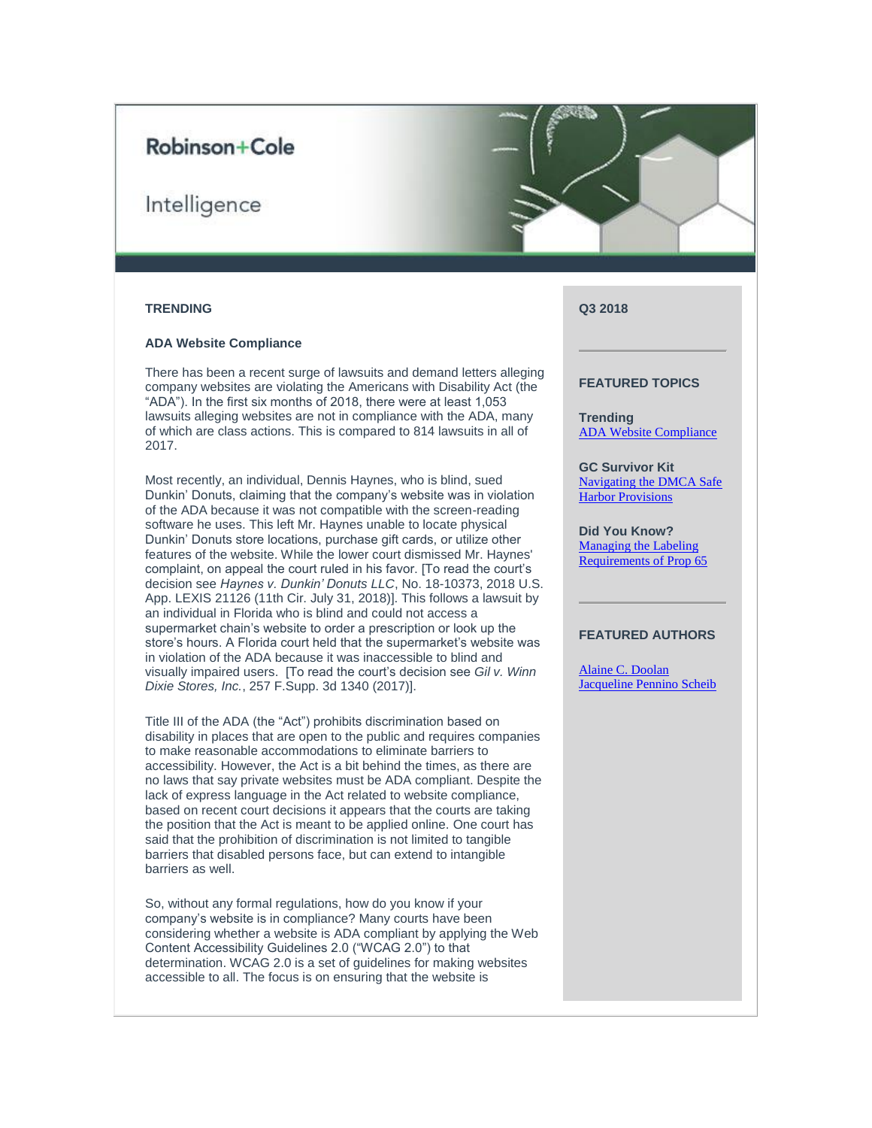# Robinson+Cole

# Intelligence



# **TRENDING**

# <span id="page-0-0"></span>**ADA Website Compliance**

There has been a recent surge of lawsuits and demand letters alleging company websites are violating the Americans with Disability Act (the "ADA"). In the first six months of 2018, there were at least 1,053 lawsuits alleging websites are not in compliance with the ADA, many of which are class actions. This is compared to 814 lawsuits in all of 2017.

Most recently, an individual, Dennis Haynes, who is blind, sued Dunkin' Donuts, claiming that the company's website was in violation of the ADA because it was not compatible with the screen-reading software he uses. This left Mr. Haynes unable to locate physical Dunkin' Donuts store locations, purchase gift cards, or utilize other features of the website. While the lower court dismissed Mr. Haynes' complaint, on appeal the court ruled in his favor. [To read the court's decision see *Haynes v. Dunkin' Donuts LLC*, No. 18-10373, 2018 U.S. App. LEXIS 21126 (11th Cir. July 31, 2018)]. This follows a lawsuit by an individual in Florida who is blind and could not access a supermarket chain's website to order a prescription or look up the store's hours. A Florida court held that the supermarket's website was in violation of the ADA because it was inaccessible to blind and visually impaired users. [To read the court's decision see *Gil v. Winn Dixie Stores, Inc.*, 257 F.Supp. 3d 1340 (2017)].

Title III of the ADA (the "Act") prohibits discrimination based on disability in places that are open to the public and requires companies to make reasonable accommodations to eliminate barriers to accessibility. However, the Act is a bit behind the times, as there are no laws that say private websites must be ADA compliant. Despite the lack of express language in the Act related to website compliance, based on recent court decisions it appears that the courts are taking the position that the Act is meant to be applied online. One court has said that the prohibition of discrimination is not limited to tangible barriers that disabled persons face, but can extend to intangible barriers as well.

So, without any formal regulations, how do you know if your company's website is in compliance? Many courts have been considering whether a website is ADA compliant by applying the Web Content Accessibility Guidelines 2.0 ("WCAG 2.0") to that determination. WCAG 2.0 is a set of guidelines for making websites accessible to all. The focus is on ensuring that the website is

# **Q3 2018**

# **FEATURED TOPICS**

**Trending** [ADA Website Compliance](#page-0-0)

**GC Survivor Kit** [Navigating the DMCA Safe](#page-1-0)  Harbor [Provisions](#page-1-0)

**Did You Know?** [Managing the](#page-3-0) Labeling [Requirements of Prop 65](#page-3-0)

# **FEATURED AUTHORS**

[Alaine C. Doolan](https://protect-us.mimecast.com/s/7IW6CM8Xq6Hq6Xw1CPAqJB?domain=rc.com) [Jacqueline Pennino Scheib](https://protect-us.mimecast.com/s/3dwMCNkGrRC0M7O8Syz5P0?domain=rc.com)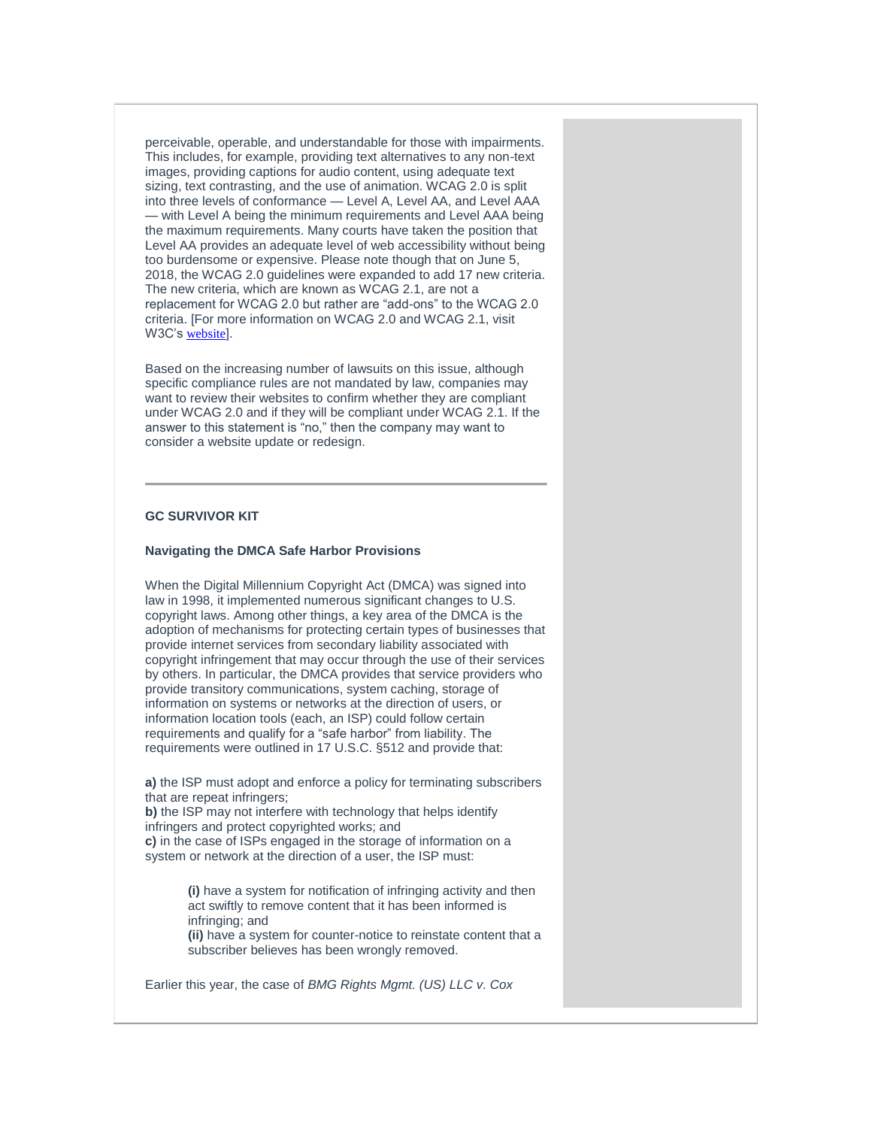perceivable, operable, and understandable for those with impairments. This includes, for example, providing text alternatives to any non-text images, providing captions for audio content, using adequate text sizing, text contrasting, and the use of animation. WCAG 2.0 is split into three levels of conformance — Level A, Level AA, and Level AAA — with Level A being the minimum requirements and Level AAA being the maximum requirements. Many courts have taken the position that Level AA provides an adequate level of web accessibility without being too burdensome or expensive. Please note though that on June 5, 2018, the WCAG 2.0 guidelines were expanded to add 17 new criteria. The new criteria, which are known as WCAG 2.1, are not a replacement for WCAG 2.0 but rather are "add-ons" to the WCAG 2.0 criteria. [For more information on WCAG 2.0 and WCAG 2.1, visit W3C's [website](https://protect-us.mimecast.com/s/p82uCJ61nRfqQZ6vCvL_ci?domain=w3.org)].

Based on the increasing number of lawsuits on this issue, although specific compliance rules are not mandated by law, companies may want to review their websites to confirm whether they are compliant under WCAG 2.0 and if they will be compliant under WCAG 2.1. If the answer to this statement is "no," then the company may want to consider a website update or redesign.

# **GC SURVIVOR KIT**

#### <span id="page-1-0"></span>**Navigating the DMCA Safe Harbor Provisions**

When the Digital Millennium Copyright Act (DMCA) was signed into law in 1998, it implemented numerous significant changes to U.S. copyright laws. Among other things, a key area of the DMCA is the adoption of mechanisms for protecting certain types of businesses that provide internet services from secondary liability associated with copyright infringement that may occur through the use of their services by others. In particular, the DMCA provides that service providers who provide transitory communications, system caching, storage of information on systems or networks at the direction of users, or information location tools (each, an ISP) could follow certain requirements and qualify for a "safe harbor" from liability. The requirements were outlined in 17 U.S.C. §512 and provide that:

**a)** the ISP must adopt and enforce a policy for terminating subscribers that are repeat infringers;

**b)** the ISP may not interfere with technology that helps identify infringers and protect copyrighted works; and **c)** in the case of ISPs engaged in the storage of information on a system or network at the direction of a user, the ISP must:

> **(i)** have a system for notification of infringing activity and then act swiftly to remove content that it has been informed is infringing; and

**(ii)** have a system for counter-notice to reinstate content that a subscriber believes has been wrongly removed.

Earlier this year, the case of *BMG Rights Mgmt. (US) LLC v. Cox*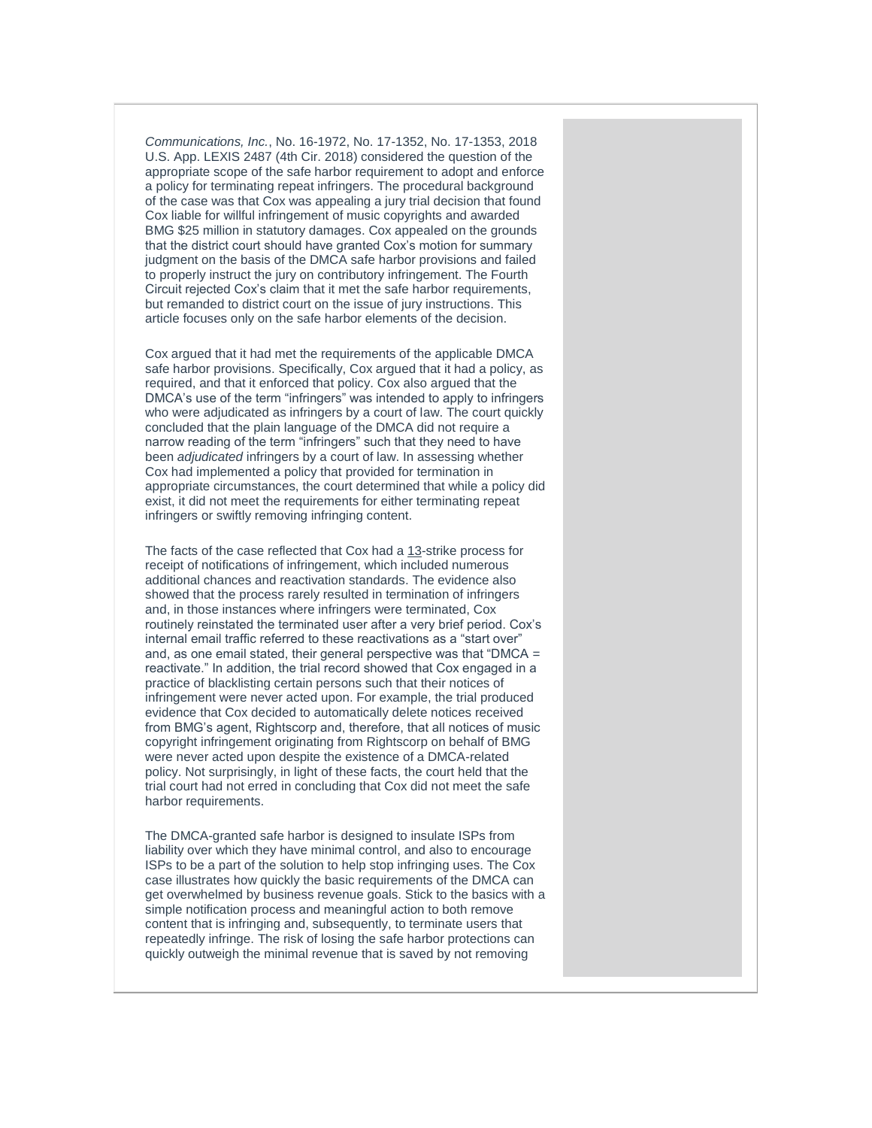*Communications, Inc.*, No. 16-1972, No. 17-1352, No. 17-1353, 2018 U.S. App. LEXIS 2487 (4th Cir. 2018) considered the question of the appropriate scope of the safe harbor requirement to adopt and enforce a policy for terminating repeat infringers. The procedural background of the case was that Cox was appealing a jury trial decision that found Cox liable for willful infringement of music copyrights and awarded BMG \$25 million in statutory damages. Cox appealed on the grounds that the district court should have granted Cox's motion for summary judgment on the basis of the DMCA safe harbor provisions and failed to properly instruct the jury on contributory infringement. The Fourth Circuit rejected Cox's claim that it met the safe harbor requirements, but remanded to district court on the issue of jury instructions. This article focuses only on the safe harbor elements of the decision.

Cox argued that it had met the requirements of the applicable DMCA safe harbor provisions. Specifically, Cox argued that it had a policy, as required, and that it enforced that policy. Cox also argued that the DMCA's use of the term "infringers" was intended to apply to infringers who were adjudicated as infringers by a court of law. The court quickly concluded that the plain language of the DMCA did not require a narrow reading of the term "infringers" such that they need to have been *adjudicated* infringers by a court of law. In assessing whether Cox had implemented a policy that provided for termination in appropriate circumstances, the court determined that while a policy did exist, it did not meet the requirements for either terminating repeat infringers or swiftly removing infringing content.

The facts of the case reflected that Cox had a 13-strike process for receipt of notifications of infringement, which included numerous additional chances and reactivation standards. The evidence also showed that the process rarely resulted in termination of infringers and, in those instances where infringers were terminated, Cox routinely reinstated the terminated user after a very brief period. Cox's internal email traffic referred to these reactivations as a "start over" and, as one email stated, their general perspective was that "DMCA  $=$ reactivate." In addition, the trial record showed that Cox engaged in a practice of blacklisting certain persons such that their notices of infringement were never acted upon. For example, the trial produced evidence that Cox decided to automatically delete notices received from BMG's agent, Rightscorp and, therefore, that all notices of music copyright infringement originating from Rightscorp on behalf of BMG were never acted upon despite the existence of a DMCA-related policy. Not surprisingly, in light of these facts, the court held that the trial court had not erred in concluding that Cox did not meet the safe harbor requirements.

The DMCA-granted safe harbor is designed to insulate ISPs from liability over which they have minimal control, and also to encourage ISPs to be a part of the solution to help stop infringing uses. The Cox case illustrates how quickly the basic requirements of the DMCA can get overwhelmed by business revenue goals. Stick to the basics with a simple notification process and meaningful action to both remove content that is infringing and, subsequently, to terminate users that repeatedly infringe. The risk of losing the safe harbor protections can quickly outweigh the minimal revenue that is saved by not removing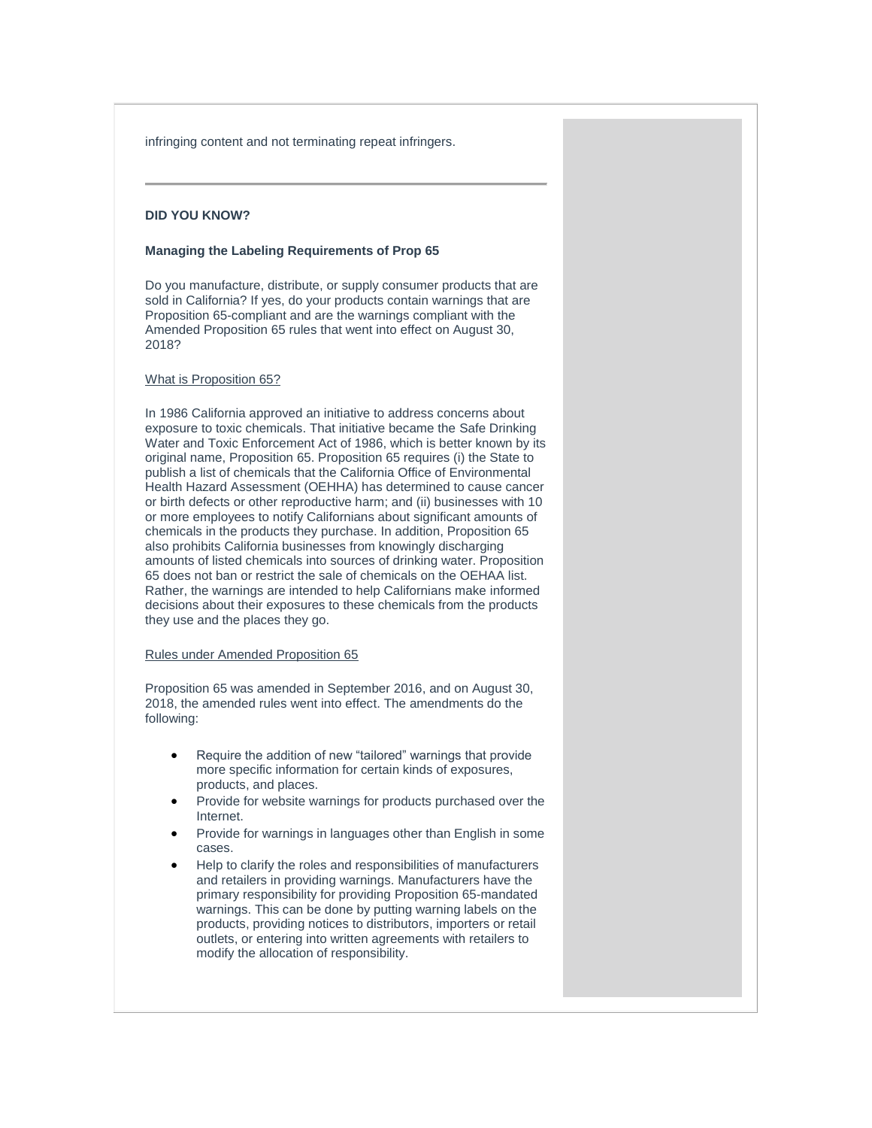infringing content and not terminating repeat infringers.

# **DID YOU KNOW?**

# <span id="page-3-0"></span>**Managing the Labeling Requirements of Prop 65**

Do you manufacture, distribute, or supply consumer products that are sold in California? If yes, do your products contain warnings that are Proposition 65-compliant and are the warnings compliant with the Amended Proposition 65 rules that went into effect on August 30, 2018?

#### What is Proposition 65?

In 1986 California approved an initiative to address concerns about exposure to toxic chemicals. That initiative became the Safe Drinking Water and Toxic Enforcement Act of 1986, which is better known by its original name, Proposition 65. Proposition 65 requires (i) the State to publish a list of chemicals that the California Office of Environmental Health Hazard Assessment (OEHHA) has determined to cause cancer or birth defects or other reproductive harm; and (ii) businesses with 10 or more employees to notify Californians about significant amounts of chemicals in the products they purchase. In addition, Proposition 65 also prohibits California businesses from knowingly discharging amounts of listed chemicals into sources of drinking water. Proposition 65 does not ban or restrict the sale of chemicals on the OEHAA list. Rather, the warnings are intended to help Californians make informed decisions about their exposures to these chemicals from the products they use and the places they go.

# Rules under Amended Proposition 65

Proposition 65 was amended in September 2016, and on August 30, 2018, the amended rules went into effect. The amendments do the following:

- Require the addition of new "tailored" warnings that provide more specific information for certain kinds of exposures, products, and places.
- Provide for website warnings for products purchased over the Internet.
- Provide for warnings in languages other than English in some cases.
- Help to clarify the roles and responsibilities of manufacturers and retailers in providing warnings. Manufacturers have the primary responsibility for providing Proposition 65-mandated warnings. This can be done by putting warning labels on the products, providing notices to distributors, importers or retail outlets, or entering into written agreements with retailers to modify the allocation of responsibility.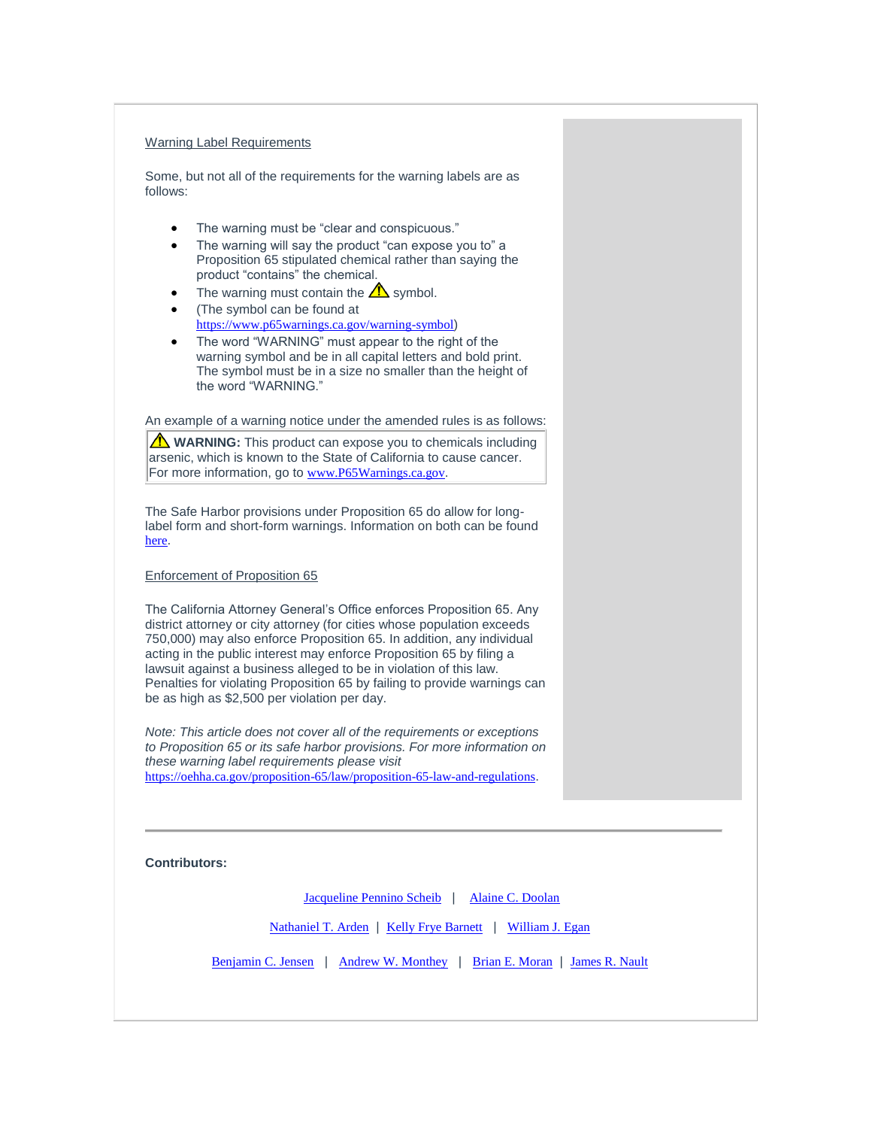# Warning Label Requirements

Some, but not all of the requirements for the warning labels are as follows:

- The warning must be "clear and conspicuous."
- The warning will say the product "can expose you to" a Proposition 65 stipulated chemical rather than saying the product "contains" the chemical.
- The warning must contain the  $\triangle$  symbol.
- (The symbol can be found at [https://www.p65warnings.ca.gov/warning-symbol](https://protect-us.mimecast.com/s/W0_5CBBvMyH7ljwrSzxk4v?domain=p65warnings.ca.gov))
- The word "WARNING" must appear to the right of the warning symbol and be in all capital letters and bold print. The symbol must be in a size no smaller than the height of the word "WARNING."

An example of a warning notice under the amended rules is as follows:

**WARNING:** This product can expose you to chemicals including arsenic, which is known to the State of California to cause cancer. For more information, go to [www.P65Warnings.ca.gov](https://protect-us.mimecast.com/s/n2ybCKrGoRi2rOXNTGEbxN?domain=p65warnings.ca.gov).

The Safe Harbor provisions under Proposition 65 do allow for longlabel form and short-form warnings. Information on both can be found [here](https://protect-us.mimecast.com/s/CmF6CL9GpRiRYKGrSrltTM?domain=p65warnings.ca.gov).

#### Enforcement of Proposition 65

The California Attorney General's Office enforces Proposition 65. Any district attorney or city attorney (for cities whose population exceeds 750,000) may also enforce Proposition 65. In addition, any individual acting in the public interest may enforce Proposition 65 by filing a lawsuit against a business alleged to be in violation of this law. Penalties for violating Proposition 65 by failing to provide warnings can be as high as \$2,500 per violation per day.

*Note: This article does not cover all of the requirements or exceptions to Proposition 65 or its safe harbor provisions. For more information on these warning label requirements please visit*  [https://oehha.ca.gov/proposition-65/law/proposition-65-law-and-regulations](https://protect-us.mimecast.com/s/USUPCERygBt36Lv2HpEDJr?domain=oehha.ca.gov).

**Contributors:**

[Jacqueline Pennino Scheib](https://protect-us.mimecast.com/s/3dwMCNkGrRC0M7O8Syz5P0?domain=rc.com) | [Alaine C. Doolan](https://protect-us.mimecast.com/s/7IW6CM8Xq6Hq6Xw1CPAqJB?domain=rc.com)

[Nathaniel T.](https://protect-us.mimecast.com/s/QblECOYGvRfp2n7jIwo_L9?domain=rc.com) Arden | [Kelly Frye Barnett](https://protect-us.mimecast.com/s/03RPCPNGw8CK5WjRiQy-Gb?domain=rc.com) | [William J. Egan](https://protect-us.mimecast.com/s/7asACQWXxRfkNO2pC5L2RY?domain=rc.com)

[Benjamin C. Jensen](https://protect-us.mimecast.com/s/dtSZCR6Xy7fvgEM1srK5i7?domain=rc.com) | [Andrew W. Monthey](https://protect-us.mimecast.com/s/RaYoCVOWD9FxP3W6TOqe9f?domain=rc.com) | [Brian E. Moran](https://protect-us.mimecast.com/s/Xm0aCW61ERf5yOMKHomcXl?domain=rc.com) | [James R. Nault](https://protect-us.mimecast.com/s/1YOWCXDPGRfXM28RsGFklo?domain=rc.com)